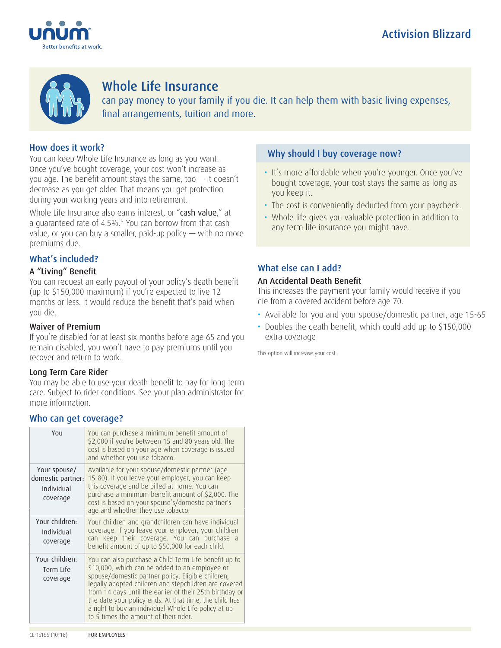



# Whole Life Insurance

can pay money to your family if you die. It can help them with basic living expenses, final arrangements, tuition and more.

# How does it work?

You can keep Whole Life Insurance as long as you want. Once you've bought coverage, your cost won't increase as you age. The benefit amount stays the same, too  $-$  it doesn't decrease as you get older. That means you get protection during your working years and into retirement.

Whole Life Insurance also earns interest, or "cash value," at a guaranteed rate of 4.5%.\* You can borrow from that cash value, or you can buy a smaller, paid-up policy  $-$  with no more premiums due.

# What's included?

### A "Living" Benefit

You can request an early payout of your policy's death benefit (up to \$150,000 maximum) if you're expected to live 12 months or less. It would reduce the benefit that's paid when you die.

#### Waiver of Premium

If you're disabled for at least six months before age 65 and you remain disabled, you won't have to pay premiums until you recover and return to work.

#### Long Term Care Rider

You may be able to use your death benefit to pay for long term care. Subject to rider conditions. See your plan administrator for more information.

### Who can get coverage?

| YOU                                                         | You can purchase a minimum benefit amount of<br>\$2,000 if you're between 15 and 80 years old. The<br>cost is based on your age when coverage is issued<br>and whether you use tobacco.                                                                                                                                                                                                                                                       |
|-------------------------------------------------------------|-----------------------------------------------------------------------------------------------------------------------------------------------------------------------------------------------------------------------------------------------------------------------------------------------------------------------------------------------------------------------------------------------------------------------------------------------|
| Your spouse/<br>domestic partner:<br>Individual<br>coverage | Available for your spouse/domestic partner (age<br>15-80). If you leave your employer, you can keep<br>this coverage and be billed at home. You can<br>purchase a minimum benefit amount of \$2,000. The<br>cost is based on your spouse's/domestic partner's<br>age and whether they use tobacco.                                                                                                                                            |
| Your children:<br>Individual<br>coverage                    | Your children and grandchildren can have individual<br>coverage. If you leave your employer, your children<br>can keep their coverage. You can purchase a<br>benefit amount of up to \$50,000 for each child.                                                                                                                                                                                                                                 |
| Your children:<br>Term Life<br>coverage                     | You can also purchase a Child Term Life benefit up to<br>\$10,000, which can be added to an employee or<br>spouse/domestic partner policy. Eligible children,<br>legally adopted children and stepchildren are covered<br>from 14 days until the earlier of their 25th birthday or<br>the date your policy ends. At that time, the child has<br>a right to buy an individual Whole Life policy at up<br>to 5 times the amount of their rider. |

### Why should I buy coverage now?

- It's more affordable when you're younger. Once you've bought coverage, your cost stays the same as long as you keep it.
- The cost is conveniently deducted from your paycheck.
- Whole life gives you valuable protection in addition to any term life insurance you might have.

### What else can I add?

#### An Accidental Death Benefit

This increases the payment your family would receive if you die from a covered accident before age 70.

- Available for you and your spouse/domestic partner, age 15-65
- Doubles the death benefit, which could add up to \$150,000 extra coverage

This option will increase your cost.